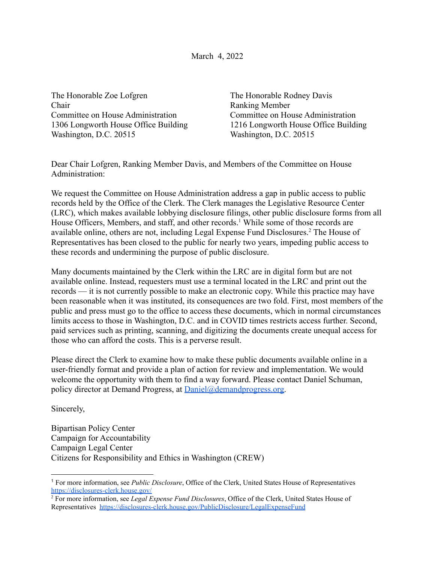March 4, 2022

The Honorable Zoe Lofgren The Honorable Rodney Davis Chair Ranking Member Committee on House Administration Committee on House Administration Washington, D.C. 20515 Washington, D.C. 20515

1306 Longworth House Office Building 1216 Longworth House Office Building

Dear Chair Lofgren, Ranking Member Davis, and Members of the Committee on House Administration:

We request the Committee on House Administration address a gap in public access to public records held by the Office of the Clerk. The Clerk manages the Legislative Resource Center (LRC), which makes available lobbying disclosure filings, other public disclosure forms from all House Officers, Members, and staff, and other records.<sup>1</sup> While some of those records are available online, others are not, including Legal Expense Fund Disclosures.<sup>2</sup> The House of Representatives has been closed to the public for nearly two years, impeding public access to these records and undermining the purpose of public disclosure.

Many documents maintained by the Clerk within the LRC are in digital form but are not available online. Instead, requesters must use a terminal located in the LRC and print out the records — it is not currently possible to make an electronic copy. While this practice may have been reasonable when it was instituted, its consequences are two fold. First, most members of the public and press must go to the office to access these documents, which in normal circumstances limits access to those in Washington, D.C. and in COVID times restricts access further. Second, paid services such as printing, scanning, and digitizing the documents create unequal access for those who can afford the costs. This is a perverse result.

Please direct the Clerk to examine how to make these public documents available online in a user-friendly format and provide a plan of action for review and implementation. We would welcome the opportunity with them to find a way forward. Please contact Daniel Schuman, policy director at Demand Progress, at [Daniel@demandprogress.org](mailto:Daniel@demandprogress.org).

Sincerely,

Bipartisan Policy Center Campaign for Accountability Campaign Legal Center Citizens for Responsibility and Ethics in Washington (CREW)

<sup>1</sup> For more information, see *Public Disclosure*, Office of the Clerk, United States House of Representatives <https://disclosures-clerk.house.gov/>

<sup>2</sup> For more information, see *Legal Expense Fund Disclosures*, Office of the Clerk, United States House of Representatives <https://disclosures-clerk.house.gov/PublicDisclosure/LegalExpenseFund>